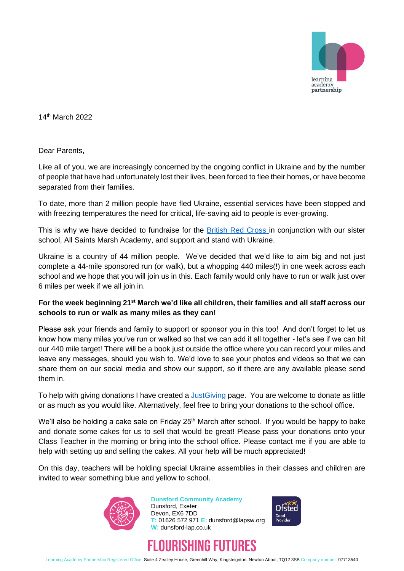

14th March 2022

Dear Parents,

Like all of you, we are increasingly concerned by the ongoing conflict in Ukraine and by the number of people that have had unfortunately lost their lives, been forced to flee their homes, or have become separated from their families.

To date, more than 2 million people have fled Ukraine, essential services have been stopped and with freezing temperatures the need for critical, life-saving aid to people is ever-growing.

This is why we have decided to fundraise for the [British Red Cross](https://www.redcross.org.uk/about-us/what-we-do/international/ukraine#Now) in conjunction with our sister school, All Saints Marsh Academy, and support and stand with Ukraine.

Ukraine is a country of 44 million people. We've decided that we'd like to aim big and not just complete a 44-mile sponsored run (or walk), but a whopping 440 miles(!) in one week across each school and we hope that you will join us in this. Each family would only have to run or walk just over 6 miles per week if we all join in.

## **For the week beginning 21st March we'd like all children, their families and all staff across our schools to run or walk as many miles as they can!**

Please ask your friends and family to support or sponsor you in this too! And don't forget to let us know how many miles you've run or walked so that we can add it all together - let's see if we can hit our 440 mile target! There will be a book just outside the office where you can record your miles and leave any messages, should you wish to. We'd love to see your photos and videos so that we can share them on our social media and show our support, so if there are any available please send them in.

To help with giving donations I have created a *JustGiving page.* You are welcome to donate as little or as much as you would like. Alternatively, feel free to bring your donations to the school office.

We'll also be holding a cake sale on Friday 25<sup>th</sup> March after school. If you would be happy to bake and donate some cakes for us to sell that would be great! Please pass your donations onto your Class Teacher in the morning or bring into the school office. Please contact me if you are able to help with setting up and selling the cakes. All your help will be much appreciated!

On this day, teachers will be holding special Ukraine assemblies in their classes and children are invited to wear something blue and yellow to school.



**Dunsford Community Academy** Dunsford, Exeter Devon, EX6 7DD **T:** 01626 572 971 **E:** dunsford@lapsw.org **W:** dunsford-lap.co.uk





Learning Academy Partnership Registered Office: Suite 4 Zealley House, Greenhill Way, Kingsteignton, Newton Abbot, TQ12 3SB Company number: 07713540